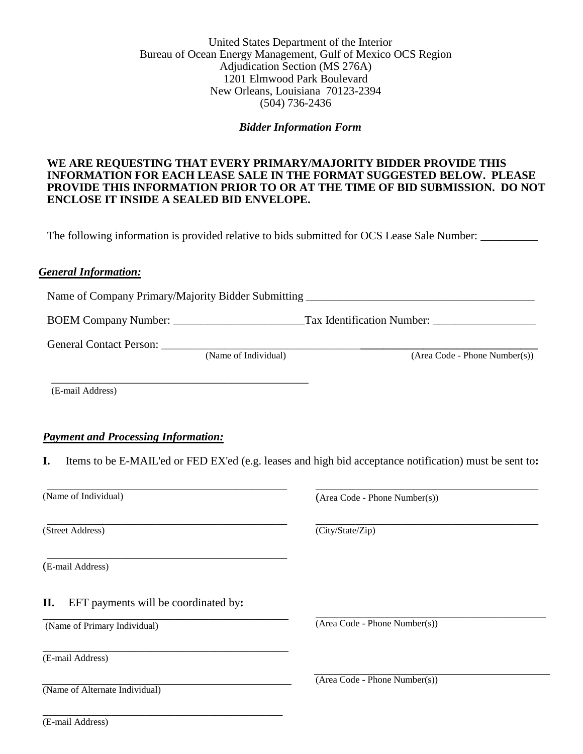# United States Department of the Interior Bureau of Ocean Energy Management, Gulf of Mexico OCS Region Adjudication Section (MS 276A) 1201 Elmwood Park Boulevard New Orleans, Louisiana 70123-2394 (504) 736-2436

## *Bidder Information Form*

# **WE ARE REQUESTING THAT EVERY PRIMARY/MAJORITY BIDDER PROVIDE THIS INFORMATION FOR EACH LEASE SALE IN THE FORMAT SUGGESTED BELOW. PLEASE PROVIDE THIS INFORMATION PRIOR TO OR AT THE TIME OF BID SUBMISSION. DO NOT ENCLOSE IT INSIDE A SEALED BID ENVELOPE.**

The following information is provided relative to bids submitted for OCS Lease Sale Number:

## *General Information:*

Name of Company Primary/Majority Bidder Submitting \_\_\_\_\_\_\_\_\_\_\_\_\_\_\_\_\_\_\_\_\_\_\_\_\_\_\_\_\_\_\_\_\_\_\_\_\_\_\_\_

BOEM Company Number: \_\_\_\_\_\_\_\_\_\_\_\_\_\_\_\_\_\_\_\_\_\_\_Tax Identification Number: \_\_\_\_\_\_\_\_\_\_\_\_\_\_\_\_\_\_

General Contact Person: *\_\_\_\_\_\_\_\_\_\_\_\_\_\_\_\_\_\_\_\_\_\_\_\_\_\_\_\_\_\_\_\_\_\_\_\_\_\_\_\_\_\_\_\_\_\_\_\_\_\_\_\_\_\_\_\_\_\_\_\_\_\_\_\_\_\_*

(Name of Individual) (Area Code - Phone Number(s))

(E-mail Address)

## *Payment and Processing Information:*

\_\_\_\_\_\_\_\_\_\_\_\_\_\_\_\_\_\_\_\_\_\_\_\_\_\_\_\_\_\_\_\_\_\_\_\_\_\_\_\_\_\_\_\_\_

\_\_\_\_\_\_\_\_\_\_\_\_\_\_\_\_\_\_\_\_\_\_\_\_\_\_\_\_\_\_\_\_\_\_\_\_\_\_\_\_\_\_

\_\_\_\_\_\_\_\_\_\_\_\_\_\_\_\_\_\_\_\_\_\_\_\_\_\_\_\_\_\_\_\_\_\_\_\_\_\_\_\_\_\_

\_\_\_\_\_\_\_\_\_\_\_\_\_\_\_\_\_\_\_\_\_\_\_\_\_\_\_\_\_\_\_\_\_\_\_\_\_\_\_\_\_\_

\_\_\_\_\_\_\_\_\_\_\_\_\_\_\_\_\_\_\_\_\_\_\_\_\_\_\_\_\_\_\_\_\_\_\_\_\_\_\_\_\_\_\_

\_\_\_\_\_\_\_\_\_\_\_\_\_\_\_\_\_\_\_\_\_\_\_\_\_\_\_\_\_\_\_\_\_\_\_\_\_\_\_\_\_\_\_

\_\_\_\_\_\_\_\_\_\_\_\_\_\_\_\_\_\_\_\_\_\_\_\_\_\_\_\_\_\_\_\_\_\_\_\_\_\_\_\_\_\_

**I.** Items to be E-MAIL'ed or FED EX'ed (e.g. leases and high bid acceptance notification) must be sent to**:**

(Name of Individual)

(Street Address)

(E-mail Address)

**II.** EFT payments will be coordinated by**:**

(Name of Primary Individual)

(E-mail Address)

(Name of Alternate Individual)

(Area Code - Phone Number(s))

\_\_\_\_\_\_\_\_\_\_\_\_\_\_\_\_\_\_\_\_\_\_\_\_\_\_\_\_\_\_\_\_\_\_\_\_\_\_\_

\_\_\_\_\_\_\_\_\_\_\_\_\_\_\_\_\_\_\_\_\_\_\_\_\_\_\_\_\_\_\_\_\_\_\_\_\_\_\_\_\_\_\_\_\_\_\_\_

\_\_\_\_\_\_\_\_\_\_\_\_\_\_\_\_\_\_\_\_\_\_\_\_\_\_\_\_\_\_\_\_\_\_\_\_\_\_\_ (City/State/Zip)

(Area Code - Phone Number(s))

(Area Code - Phone Number(s))

(E-mail Address)